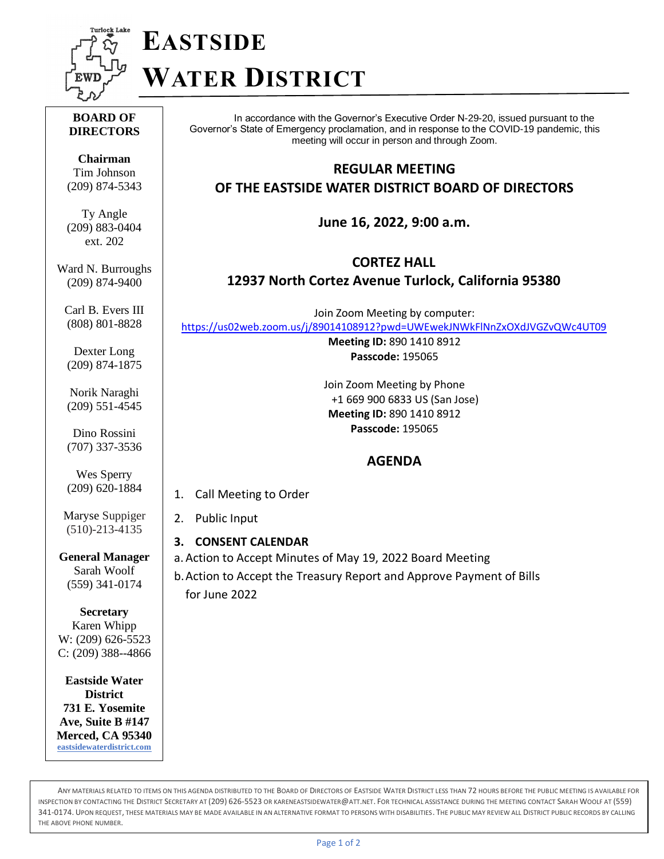

# **EASTSIDE WATER DISTRICT**

#### **BOARD OF DIRECTORS**

**Chairman** Tim Johnson (209) 874-5343

Ty Angle (209) 883-0404 ext. 202

Ward N. Burroughs (209) 874-9400

Carl B. Evers III (808) 801-8828

Dexter Long (209) 874-1875

Norik Naraghi (209) 551-4545

Dino Rossini (707) 337-3536

Wes Sperry (209) 620-1884

Maryse Suppiger (510)-213-4135

**General Manager** Sarah Woolf (559) 341-0174

**Secretary** Karen Whipp W: (209) 626-5523 C: (209) 388--4866

**Eastside Water District 731 E. Yosemite Ave, Suite B #147 Merced, CA 95340 [eastsidewaterdistrict.com](http://www.eastsidewaterdistrict.com/)**

In accordance with the Governor's Executive Order N-29-20, issued pursuant to the Governor's State of Emergency proclamation, and in response to the COVID-19 pandemic, this meeting will occur in person and through Zoom.

#### **REGULAR MEETING**

**OF THE EASTSIDE WATER DISTRICT BOARD OF DIRECTORS**

**June 16, 2022, 9:00 a.m.**

**CORTEZ HALL**

#### **12937 North Cortez Avenue Turlock, California 95380**

Join Zoom Meeting by computer: <https://us02web.zoom.us/j/89014108912?pwd=UWEwekJNWkFlNnZxOXdJVGZvQWc4UT09>

> **Meeting ID:** 890 1410 8912 **Passcode:** 195065

Join Zoom Meeting by Phone +1 669 900 6833 US (San Jose) **Meeting ID:** 890 1410 8912 **Passcode:** 195065

### **AGENDA**

1. Call Meeting to Order

#### 2. Public Input

- **3. CONSENT CALENDAR**
- a. Action to Accept Minutes of May 19, 2022 Board Meeting
- b.Action to Accept the Treasury Report and Approve Payment of Bills for June 2022

ANY MATERIALS RELATED TO ITEMS ON THIS AGENDA DISTRIBUTED TO THE BOARD OF DIRECTORS OF EASTSIDE WATER DISTRICT LESS THAN 72 HOURS BEFORE THE PUBLIC MEETING IS AVAILABLE FOR INSPECTION BY CONTACTING THE DISTRICT SECRETARY AT (209) 626-5523 O[R KARENEASTSIDEWATER](mailto:kareneastsidewater@att.net)@ATT.NET. FOR TECHNICAL ASSISTANCE DURING THE MEETING CONTACT SARAH WOOLF AT (559) 341-0174. UPON REQUEST, THESE MATERIALS MAY BE MADE AVAILABLE IN AN ALTERNATIVE FORMAT TO PERSONS WITH DISABILITIES. THE PUBLIC MAY REVIEW ALL DISTRICT PUBLIC RECORDS BY CALLING THE ABOVE PHONE NUMBER.